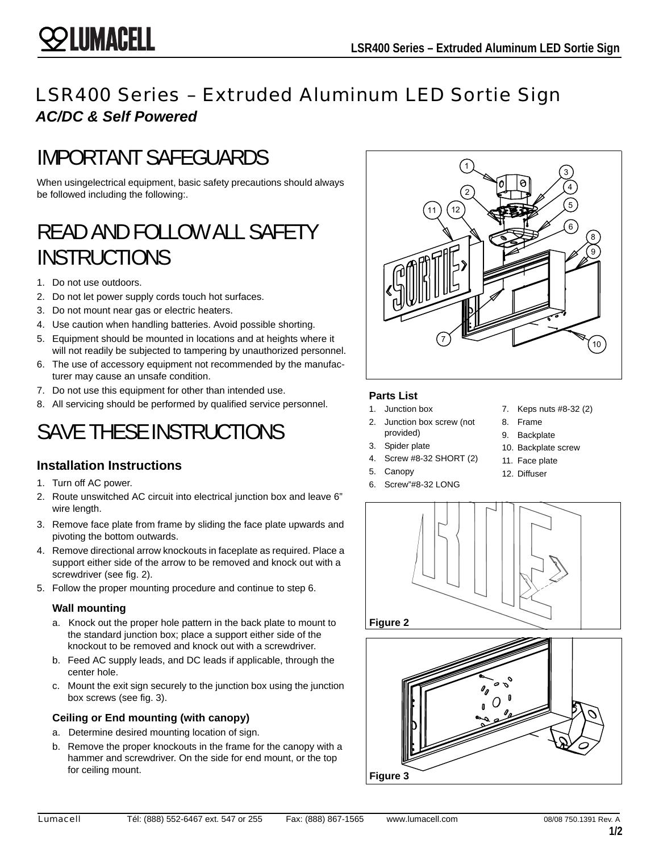## LSR400 Series – Extruded Aluminum LED Sortie Sign *AC/DC & Self Powered*

## IMPORTANT SAFEGUARDS

When usingelectrical equipment, basic safety precautions should always be followed including the following:.

# READ AND FOLLOW ALL SAFETY INSTRUCTIONS

1. Do not use outdoors.

**SS LUMACELL** 

- 2. Do not let power supply cords touch hot surfaces.
- 3. Do not mount near gas or electric heaters.
- 4. Use caution when handling batteries. Avoid possible shorting.
- 5. Equipment should be mounted in locations and at heights where it will not readily be subjected to tampering by unauthorized personnel.
- 6. The use of accessory equipment not recommended by the manufacturer may cause an unsafe condition.
- 7. Do not use this equipment for other than intended use.
- 8. All servicing should be performed by qualified service personnel.

# SAVE THESE INSTRUCTIONS

## **Installation Instructions**

- 1. Turn off AC power.
- 2. Route unswitched AC circuit into electrical junction box and leave 6" wire length.
- 3. Remove face plate from frame by sliding the face plate upwards and pivoting the bottom outwards.
- 4. Remove directional arrow knockouts in faceplate as required. Place a support either side of the arrow to be removed and knock out with a screwdriver (see fig. 2).
- 5. Follow the proper mounting procedure and continue to step 6.

#### **Wall mounting**

- a. Knock out the proper hole pattern in the back plate to mount to the standard junction box; place a support either side of the knockout to be removed and knock out with a screwdriver.
- b. Feed AC supply leads, and DC leads if applicable, through the center hole.
- c. Mount the exit sign securely to the junction box using the junction box screws (see fig. 3).

#### **Ceiling or End mounting (with canopy)**

- a. Determine desired mounting location of sign.
- b. Remove the proper knockouts in the frame for the canopy with a hammer and screwdriver. On the side for end mount, or the top for ceiling mount.



#### **Parts List**

- 1. Junction box
- 2. Junction box screw (not provided)
- 3. Spider plate
- 4. Screw #8-32 SHORT (2)
- 5. Canopy
- 6. Screw"#8-32 LONG
- 7. Keps nuts #8-32 (2)
- 8. Frame
- 9. Backplate
- 10. Backplate screw
- 11. Face plate
- 12. Diffuser